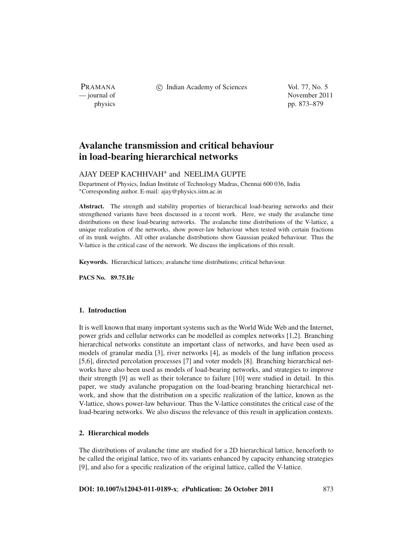PRAMANA

c Indian Academy of Sciences Vol. 77, No. 5

— journal of November 2011 physics pp. 873–879

# **Avalanche transmission and critical behaviour in load-bearing hierarchical networks**

## AJAY DEEP KACHHVAH<sup>∗</sup> and NEELIMA GUPTE

Department of Physics, Indian Institute of Technology Madras, Chennai 600 036, India <sup>∗</sup>Corresponding author. E-mail: ajay@physics.iitm.ac.in

**Abstract.** The strength and stability properties of hierarchical load-bearing networks and their strengthened variants have been discussed in a recent work. Here, we study the avalanche time distributions on these load-bearing networks. The avalanche time distributions of the V-lattice, a unique realization of the networks, show power-law behaviour when tested with certain fractions of its trunk weights. All other avalanche distributions show Gaussian peaked behaviour. Thus the V-lattice is the critical case of the network. We discuss the implications of this result.

**Keywords.** Hierarchical lattices; avalanche time distributions; critical behaviour.

**PACS No. 89.75.Hc**

## **1. Introduction**

It is well known that many important systems such as the World Wide Web and the Internet, power grids and cellular networks can be modelled as complex networks [1,2]. Branching hierarchical networks constitute an important class of networks, and have been used as models of granular media [3], river networks [4], as models of the lung inflation process [5,6], directed percolation processes [7] and voter models [8]. Branching hierarchical networks have also been used as models of load-bearing networks, and strategies to improve their strength [9] as well as their tolerance to failure [10] were studied in detail. In this paper, we study avalanche propagation on the load-bearing branching hierarchical network, and show that the distribution on a specific realization of the lattice, known as the V-lattice, shows power-law behaviour. Thus the V-lattice constitutes the critical case of the load-bearing networks. We also discuss the relevance of this result in application contexts.

## **2. Hierarchical models**

The distributions of avalanche time are studied for a 2D hierarchical lattice, henceforth to be called the original lattice, two of its variants enhanced by capacity enhancing strategies [9], and also for a specific realization of the original lattice, called the V-lattice.

**DOI: 10.1007/s12043-011-0189-x**; *e***Publication: 26 October 2011** 873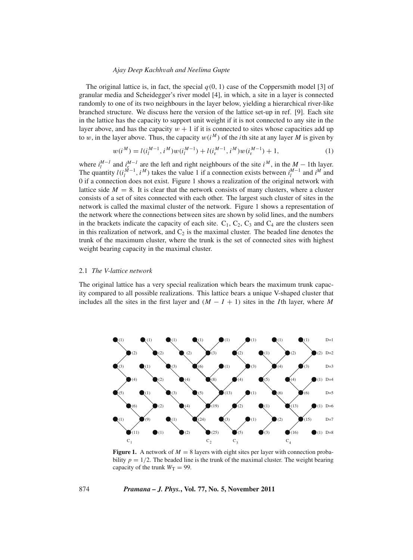#### *Ajay Deep Kachh*v*ah and Neelima Gupte*

The original lattice is, in fact, the special  $q(0, 1)$  case of the Coppersmith model [3] of granular media and Scheidegger's river model [4], in which, a site in a layer is connected randomly to one of its two neighbours in the layer below, yielding a hierarchical river-like branched structure. We discuss here the version of the lattice set-up in ref. [9]. Each site in the lattice has the capacity to support unit weight if it is not connected to any site in the layer above, and has the capacity  $w + 1$  if it is connected to sites whose capacities add up to w, in the layer above. Thus, the capacity  $w(i^M)$  of the *i*th site at any layer M is given by

$$
w(i^M) = l(i_l^{M-1}, i^M)w(i_l^{M-1}) + l(i_r^{M-1}, i^M)w(i_r^{M-1}) + 1,
$$
\n(1)

where  $i_1^{M-1}$  and  $i_2^{M-1}$  are the left and right neighbours of the site  $i^M$ , in the  $M-1$ th layer. The quantity  $l(i_l^{M-1}, i^M)$  takes the value 1 if a connection exists between  $i_l^{M-1}$  and  $i^M$  and 0 if a connection does not exist. Figure 1 shows a realization of the original network with lattice side  $M = 8$ . It is clear that the network consists of many clusters, where a cluster consists of a set of sites connected with each other. The largest such cluster of sites in the network is called the maximal cluster of the network. Figure 1 shows a representation of the network where the connections between sites are shown by solid lines, and the numbers in the brackets indicate the capacity of each site.  $C_1$ ,  $C_2$ ,  $C_3$  and  $C_4$  are the clusters seen in this realization of network, and  $C_2$  is the maximal cluster. The beaded line denotes the trunk of the maximum cluster, where the trunk is the set of connected sites with highest weight bearing capacity in the maximal cluster.

## 2.1 *The V-lattice network*

The original lattice has a very special realization which bears the maximum trunk capacity compared to all possible realizations. This lattice bears a unique V-shaped cluster that includes all the sites in the first layer and  $(M - I + 1)$  sites in the *I*th layer, where *M* 



**Figure 1.** A network of  $M = 8$  layers with eight sites per layer with connection probability  $p = 1/2$ . The beaded line is the trunk of the maximal cluster. The weight bearing capacity of the trunk  $W_T = 99$ .

## 874 *Pramana – J. Phys.***, Vol. 77, No. 5, November 2011**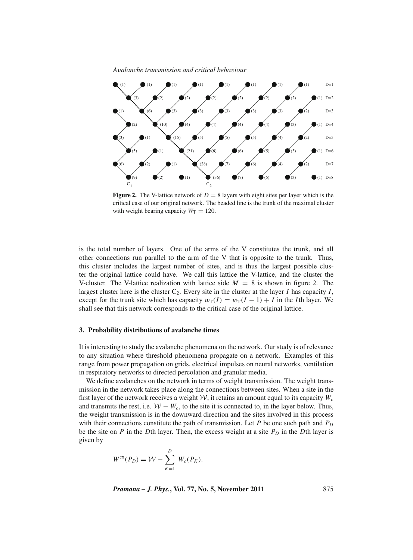



**Figure 2.** The V-lattice network of  $D = 8$  layers with eight sites per layer which is the critical case of our original network. The beaded line is the trunk of the maximal cluster with weight bearing capacity  $W_T = 120$ .

is the total number of layers. One of the arms of the V constitutes the trunk, and all other connections run parallel to the arm of the V that is opposite to the trunk. Thus, this cluster includes the largest number of sites, and is thus the largest possible cluster the original lattice could have. We call this lattice the V-lattice, and the cluster the V-cluster. The V-lattice realization with lattice side  $M = 8$  is shown in figure 2. The largest cluster here is the cluster  $C_2$ . Every site in the cluster at the layer *I* has capacity *I*, except for the trunk site which has capacity  $w_T(I) = w_T(I - 1) + I$  in the *I*th layer. We shall see that this network corresponds to the critical case of the original lattice.

## **3. Probability distributions of avalanche times**

It is interesting to study the avalanche phenomena on the network. Our study is of relevance to any situation where threshold phenomena propagate on a network. Examples of this range from power propagation on grids, electrical impulses on neural networks, ventilation in respiratory networks to directed percolation and granular media.

We define avalanches on the network in terms of weight transmission. The weight transmission in the network takes place along the connections between sites. When a site in the first layer of the network receives a weight  $W$ , it retains an amount equal to its capacity  $W_c$ and transmits the rest, i.e.  $W - W_c$ , to the site it is connected to, in the layer below. Thus, the weight transmission is in the downward direction and the sites involved in this process with their connections constitute the path of transmission. Let *P* be one such path and  $P_D$ be the site on  $P$  in the  $D$ th layer. Then, the excess weight at a site  $P_D$  in the  $D$ th layer is given by

$$
W^{\text{ex}}(P_D) = \mathcal{W} - \sum_{K=1}^{D} W_c(P_K).
$$

*Pramana – J. Phys.***, Vol. 77, No. 5, November 2011** 875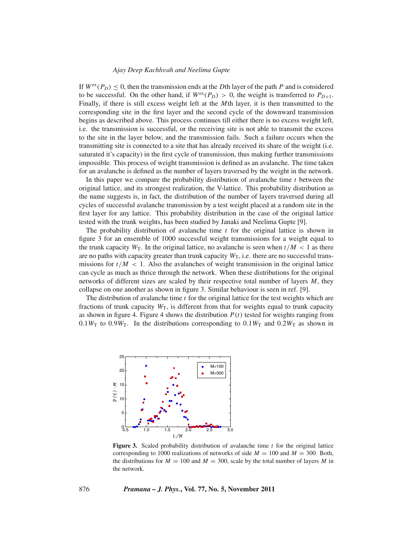#### *Ajay Deep Kachh*v*ah and Neelima Gupte*

If  $W^{\text{ex}}(P_D) \leq 0$ , then the transmission ends at the *D*th layer of the path *P* and is considered to be successful. On the other hand, if  $W^{\text{ex}}(P_D) > 0$ , the weight is transferred to  $P_{D+1}$ . Finally, if there is still excess weight left at the *M*th layer, it is then transmitted to the corresponding site in the first layer and the second cycle of the downward transmission begins as described above. This process continues till either there is no excess weight left, i.e. the transmission is successful, or the receiving site is not able to transmit the excess to the site in the layer below, and the transmission fails. Such a failure occurs when the transmitting site is connected to a site that has already received its share of the weight (i.e. saturated it's capacity) in the first cycle of transmission, thus making further transmissions impossible. This process of weight transmission is defined as an avalanche. The time taken for an avalanche is defined as the number of layers traversed by the weight in the network.

In this paper we compare the probability distribution of avalanche time *t* between the original lattice, and its strongest realization, the V-lattice. This probability distribution as the name suggests is, in fact, the distribution of the number of layers traversed during all cycles of successful avalanche transmission by a test weight placed at a random site in the first layer for any lattice. This probability distribution in the case of the original lattice tested with the trunk weights, has been studied by Janaki and Neelima Gupte [9].

The probability distribution of avalanche time *t* for the original lattice is shown in figure 3 for an ensemble of 1000 successful weight transmissions for a weight equal to the trunk capacity  $W_T$ . In the original lattice, no avalanche is seen when  $t/M < 1$  as there are no paths with capacity greater than trunk capacity  $W_T$ , i.e. there are no successful transmissions for  $t/M < 1$ . Also the avalanches of weight transmission in the original lattice can cycle as much as thrice through the network. When these distributions for the original networks of different sizes are scaled by their respective total number of layers *M*, they collapse on one another as shown in figure 3. Similar behaviour is seen in ref. [9].

The distribution of avalanche time *t* for the original lattice for the test weights which are fractions of trunk capacity  $W_T$ , is different from that for weights equal to trunk capacity as shown in figure 4. Figure 4 shows the distribution  $P(t)$  tested for weights ranging from  $0.1W<sub>T</sub>$  to  $0.9W<sub>T</sub>$ . In the distributions corresponding to  $0.1W<sub>T</sub>$  and  $0.2W<sub>T</sub>$  as shown in



**Figure 3.** Scaled probability distribution of avalanche time *t* for the original lattice corresponding to 1000 realizations of networks of side  $M = 100$  and  $M = 300$ . Both, the distributions for  $M = 100$  and  $M = 300$ , scale by the total number of layers M in the network.

876 *Pramana – J. Phys.***, Vol. 77, No. 5, November 2011**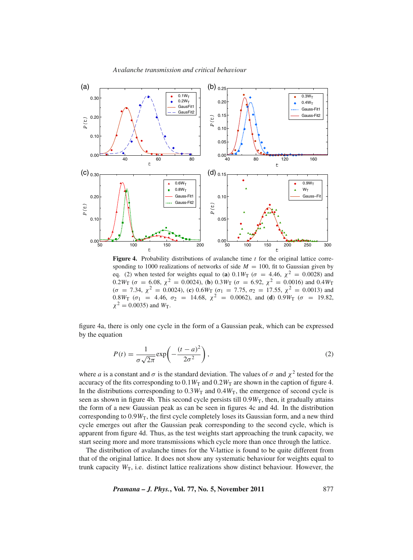

**Figure 4.** Probability distributions of avalanche time *t* for the original lattice corresponding to 1000 realizations of networks of side  $M = 100$ , fit to Gaussian given by eq. (2) when tested for weights equal to (**a**)  $0.1W_T$  ( $\sigma = 4.46$ ,  $\chi^2 = 0.0028$ ) and 0.2*W*<sub>T</sub> ( $\sigma$  = 6.08,  $\chi^2$  = 0.0024), (**b**) 0.3*W*<sub>T</sub> ( $\sigma$  = 6.92,  $\chi^2$  = 0.0016) and 0.4*W*<sub>T</sub>  $(\sigma = 7.34, \chi^2 = 0.0024)$ , (**c**)  $0.6W_T$  ( $\sigma_1 = 7.75, \sigma_2 = 17.55, \chi^2 = 0.0013$ ) and 0.8*W*<sub>T</sub> ( $\sigma_1$  = 4.46,  $\sigma_2$  = 14.68,  $\chi^2$  = 0.0062), and (**d**) 0.9*W*<sub>T</sub> ( $\sigma$  = 19.82,  $\chi^2 = 0.0035$ ) and  $W_T$ .

figure 4a, there is only one cycle in the form of a Gaussian peak, which can be expressed by the equation

$$
P(t) = \frac{1}{\sigma\sqrt{2\pi}} \exp\left(-\frac{(t-a)^2}{2\sigma^2}\right),\tag{2}
$$

where *a* is a constant and  $\sigma$  is the standard deviation. The values of  $\sigma$  and  $\chi^2$  tested for the accuracy of the fits corresponding to  $0.1W_T$  and  $0.2W_T$  are shown in the caption of figure 4. In the distributions corresponding to  $0.3W_T$  and  $0.4W_T$ , the emergence of second cycle is seen as shown in figure 4b. This second cycle persists till  $0.9W<sub>T</sub>$ , then, it gradually attains the form of a new Gaussian peak as can be seen in figures 4c and 4d. In the distribution corresponding to  $0.9W<sub>T</sub>$ , the first cycle completely loses its Gaussian form, and a new third cycle emerges out after the Gaussian peak corresponding to the second cycle, which is apparent from figure 4d. Thus, as the test weights start approaching the trunk capacity, we start seeing more and more transmissions which cycle more than once through the lattice.

The distribution of avalanche times for the V-lattice is found to be quite different from that of the original lattice. It does not show any systematic behaviour for weights equal to trunk capacity  $W_T$ , i.e. distinct lattice realizations show distinct behaviour. However, the

*Pramana – J. Phys.***, Vol. 77, No. 5, November 2011** 877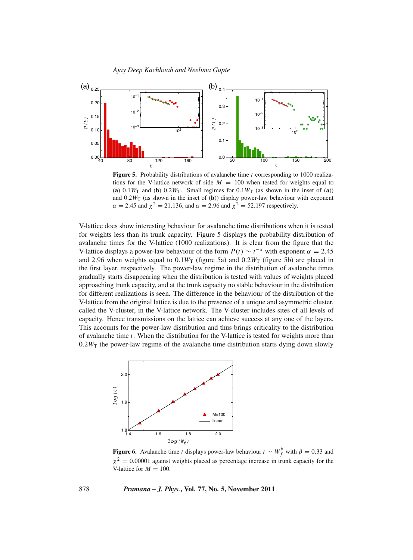#### *Ajay Deep Kachh*v*ah and Neelima Gupte*



**Figure 5.** Probability distributions of avalanche time *t* corresponding to 1000 realizations for the V-lattice network of side  $M = 100$  when tested for weights equal to (a)  $0.1W_T$  and (b)  $0.2W_T$ . Small regimes for  $0.1W_T$  (as shown in the inset of (a)) and 0.2*W*T (as shown in the inset of (**b**)) display power-law behaviour with exponent  $\alpha = 2.45$  and  $\chi^2 = 21.136$ , and  $\alpha = 2.96$  and  $\chi^2 = 52.197$  respectively.

V-lattice does show interesting behaviour for avalanche time distributions when it is tested for weights less than its trunk capacity. Figure 5 displays the probability distribution of avalanche times for the V-lattice (1000 realizations). It is clear from the figure that the V-lattice displays a power-law behaviour of the form  $P(t) \sim t^{-\alpha}$  with exponent  $\alpha = 2.45$ and 2.96 when weights equal to  $0.1W<sub>T</sub>$  (figure 5a) and  $0.2W<sub>T</sub>$  (figure 5b) are placed in the first layer, respectively. The power-law regime in the distribution of avalanche times gradually starts disappearing when the distribution is tested with values of weights placed approaching trunk capacity, and at the trunk capacity no stable behaviour in the distribution for different realizations is seen. The difference in the behaviour of the distribution of the V-lattice from the original lattice is due to the presence of a unique and asymmetric cluster, called the V-cluster, in the V-lattice network. The V-cluster includes sites of all levels of capacity. Hence transmissions on the lattice can achieve success at any one of the layers. This accounts for the power-law distribution and thus brings criticality to the distribution of avalanche time *t*. When the distribution for the V-lattice is tested for weights more than  $0.2W<sub>T</sub>$  the power-law regime of the avalanche time distribution starts dying down slowly



**Figure 6.** Avalanche time *t* displays power-law behaviour  $t \sim W_f^{\beta}$  with  $\beta = 0.33$  and  $\chi^2 = 0.00001$  against weights placed as percentage increase in trunk capacity for the V-lattice for  $M = 100$ .

878 *Pramana – J. Phys.***, Vol. 77, No. 5, November 2011**